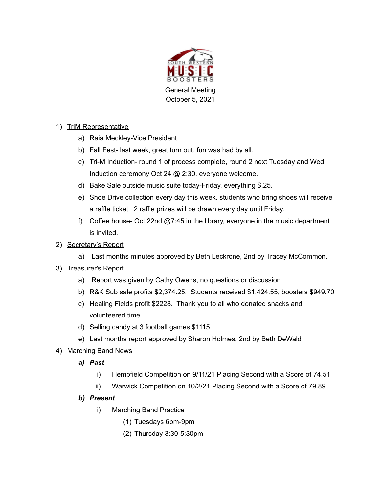

# 1) TriM Representative

- a) Raia Meckley-Vice President
- b) Fall Fest- last week, great turn out, fun was had by all.
- c) Tri-M Induction- round 1 of process complete, round 2 next Tuesday and Wed. Induction ceremony Oct 24 @ 2:30, everyone welcome.
- d) Bake Sale outside music suite today-Friday, everything \$.25.
- e) Shoe Drive collection every day this week, students who bring shoes will receive a raffle ticket. 2 raffle prizes will be drawn every day until Friday.
- f) Coffee house- Oct 22nd @7:45 in the library, everyone in the music department is invited.

## 2) Secretary's Report

a) Last months minutes approved by Beth Leckrone, 2nd by Tracey McCommon.

### 3) Treasurer's Report

- a) Report was given by Cathy Owens, no questions or discussion
- b) R&K Sub sale profits \$2,374.25, Students received \$1,424.55, boosters \$949.70
- c) Healing Fields profit \$2228. Thank you to all who donated snacks and volunteered time.
- d) Selling candy at 3 football games \$1115
- e) Last months report approved by Sharon Holmes, 2nd by Beth DeWald

### 4) Marching Band News

- *a) Past*
	- i) Hempfield Competition on 9/11/21 Placing Second with a Score of 74.51
	- ii) Warwick Competition on 10/2/21 Placing Second with a Score of 79.89

### *b) Present*

- i) Marching Band Practice
	- (1) Tuesdays 6pm-9pm
	- (2) Thursday 3:30-5:30pm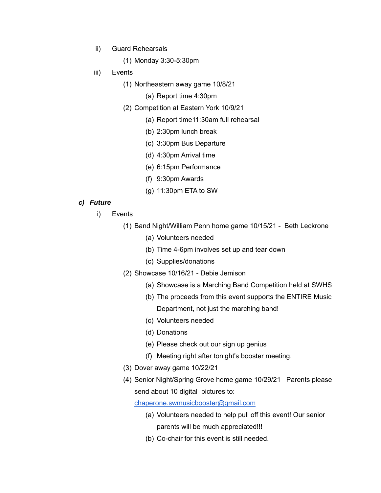- ii) Guard Rehearsals
	- (1) Monday 3:30-5:30pm
- iii) Events
	- (1) Northeastern away game 10/8/21
		- (a) Report time 4:30pm
	- (2) Competition at Eastern York 10/9/21
		- (a) Report time11:30am full rehearsal
		- (b) 2:30pm lunch break
		- (c) 3:30pm Bus Departure
		- (d) 4:30pm Arrival time
		- (e) 6:15pm Performance
		- (f) 9:30pm Awards
		- (g) 11:30pm ETA to SW

#### *c) Future*

- i) Events
	- (1) Band Night/William Penn home game 10/15/21 Beth Leckrone
		- (a) Volunteers needed
		- (b) Time 4-6pm involves set up and tear down
		- (c) Supplies/donations
	- (2) Showcase 10/16/21 Debie Jemison
		- (a) Showcase is a Marching Band Competition held at SWHS
		- (b) The proceeds from this event supports the ENTIRE Music Department, not just the marching band!
		- (c) Volunteers needed
		- (d) Donations
		- (e) Please check out our sign up genius
		- (f) Meeting right after tonight's booster meeting.
	- (3) Dover away game 10/22/21
	- (4) Senior Night/Spring Grove home game 10/29/21 Parents please send about 10 digital pictures to:

[chaperone.swmusicbooster@gmail.com](mailto:chaperone.swmusicbooster@gmail.com)

- (a) Volunteers needed to help pull off this event! Our senior parents will be much appreciated!!!
- (b) Co-chair for this event is still needed.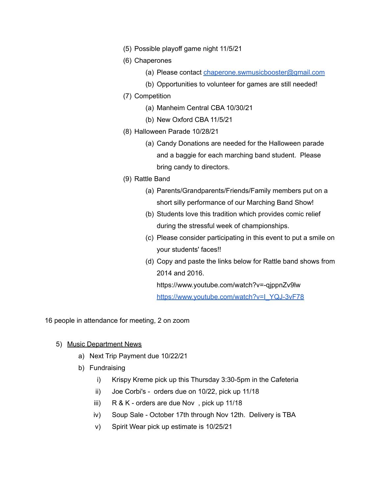- (5) Possible playoff game night 11/5/21
- (6) Chaperones
	- (a) Please contact [chaperone.swmusicbooster@gmail.com](mailto:chaperone.swmusicbooster@gmail.com)
	- (b) Opportunities to volunteer for games are still needed!
- (7) Competition
	- (a) Manheim Central CBA 10/30/21
	- (b) New Oxford CBA 11/5/21
- (8) Halloween Parade 10/28/21
	- (a) Candy Donations are needed for the Halloween parade and a baggie for each marching band student. Please bring candy to directors.
- (9) Rattle Band
	- (a) Parents/Grandparents/Friends/Family members put on a short silly performance of our Marching Band Show!
	- (b) Students love this tradition which provides comic relief during the stressful week of championships.
	- (c) Please consider participating in this event to put a smile on your students' faces!!
	- (d) Copy and paste the links below for Rattle band shows from 2014 and 2016.

https://www.youtube.com/watch?v=-qjppnZv9lw [https://www.youtube.com/watch?v=I\\_YQJ-3vF78](https://www.youtube.com/watch?v=I_YQJ-3vF78)

16 people in attendance for meeting, 2 on zoom

- 5) Music Department News
	- a) Next Trip Payment due 10/22/21
	- b) Fundraising
		- i) Krispy Kreme pick up this Thursday 3:30-5pm in the Cafeteria
		- ii) Joe Corbi's orders due on 10/22, pick up 11/18
		- iii) R & K orders are due Nov , pick up 11/18
		- iv) Soup Sale October 17th through Nov 12th. Delivery is TBA
		- v) Spirit Wear pick up estimate is 10/25/21